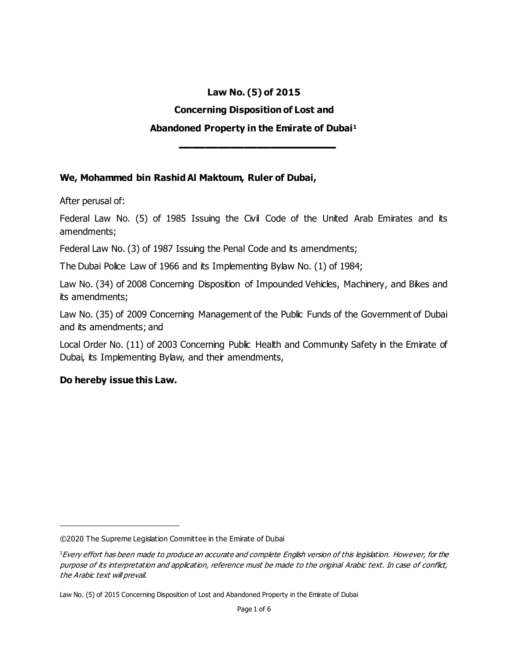# **Law No. (5) of 2015 Concerning Disposition of Lost and Abandoned Property in the Emirate of Dubai<sup>1</sup>**

**ـــــــــــــــــــــــــــــــــــــــــــــــــــــــــــــ**

#### **We, Mohammed bin Rashid Al Maktoum, Ruler of Dubai,**

After perusal of:

Federal Law No. (5) of 1985 Issuing the Civil Code of the United Arab Emirates and its amendments;

Federal Law No. (3) of 1987 Issuing the Penal Code and its amendments;

The Dubai Police Law of 1966 and its Implementing Bylaw No. (1) of 1984;

Law No. (34) of 2008 Concerning Disposition of Impounded Vehicles, Machinery, and Bikes and its amendments;

Law No. (35) of 2009 Concerning Management of the Public Funds of the Government of Dubai and its amendments; and

Local Order No. (11) of 2003 Concerning Public Health and Community Safety in the Emirate of Dubai, its Implementing Bylaw, and their amendments,

#### **Do hereby issue this Law.**

l

<sup>©2020</sup> The Supreme Legislation Committee in the Emirate of Dubai

<sup>&</sup>lt;sup>1</sup>Every effort has been made to produce an accurate and complete English version of this legislation. However, for the purpose of its interpretation and application, reference must be made to the original Arabic text. In case of conflict, the Arabic text will prevail.

Law No. (5) of 2015 Concerning Disposition of Lost and Abandoned Property in the Emirate of Dubai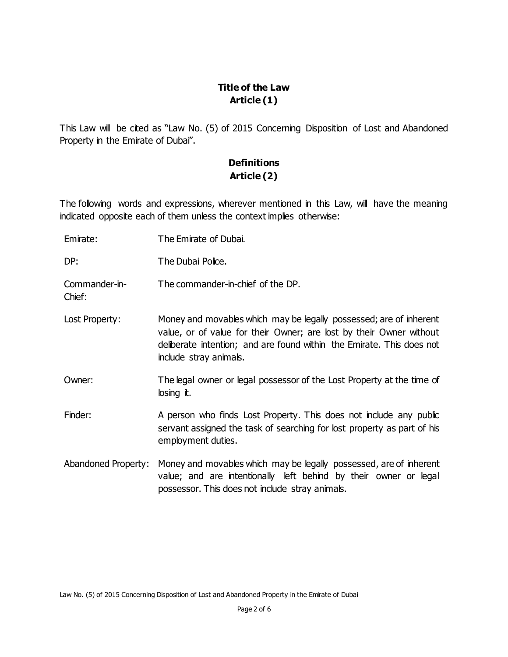## **Title of the Law Article (1)**

This Law will be cited as "Law No. (5) of 2015 Concerning Disposition of Lost and Abandoned Property in the Emirate of Dubai".

# **Definitions Article (2)**

The following words and expressions, wherever mentioned in this Law, will have the meaning indicated opposite each of them unless the context implies otherwise:

Emirate: The Emirate of Dubai. DP: The Dubai Police. Commander-in-Chief: The commander-in-chief of the DP. Lost Property: Money and movables which may be legally possessed; are of inherent value, or of value for their Owner; are lost by their Owner without deliberate intention; and are found within the Emirate. This does not include stray animals. Owner: The legal owner or legal possessor of the Lost Property at the time of losing it. Finder: A person who finds Lost Property. This does not include any public servant assigned the task of searching for lost property as part of his employment duties. Abandoned Property: Money and movables which may be legally possessed, are of inherent value; and are intentionally left behind by their owner or legal possessor. This does not include stray animals.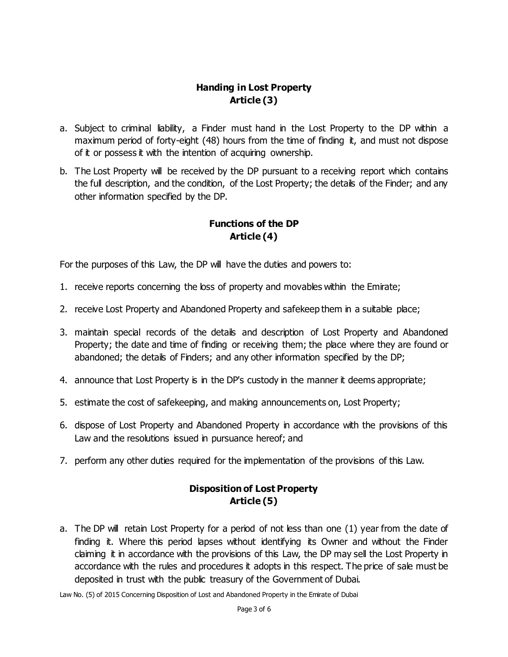## **Handing in Lost Property Article (3)**

- a. Subject to criminal liability, a Finder must hand in the Lost Property to the DP within a maximum period of forty-eight (48) hours from the time of finding it, and must not dispose of it or possess it with the intention of acquiring ownership.
- b. The Lost Property will be received by the DP pursuant to a receiving report which contains the full description, and the condition, of the Lost Property; the details of the Finder; and any other information specified by the DP.

# **Functions of the DP Article (4)**

For the purposes of this Law, the DP will have the duties and powers to:

- 1. receive reports concerning the loss of property and movables within the Emirate;
- 2. receive Lost Property and Abandoned Property and safekeep them in a suitable place;
- 3. maintain special records of the details and description of Lost Property and Abandoned Property; the date and time of finding or receiving them; the place where they are found or abandoned; the details of Finders; and any other information specified by the DP;
- 4. announce that Lost Property is in the DP's custody in the manner it deems appropriate;
- 5. estimate the cost of safekeeping, and making announcements on, Lost Property;
- 6. dispose of Lost Property and Abandoned Property in accordance with the provisions of this Law and the resolutions issued in pursuance hereof; and
- 7. perform any other duties required for the implementation of the provisions of this Law.

### **Disposition of Lost Property Article (5)**

a. The DP will retain Lost Property for a period of not less than one (1) year from the date of finding it. Where this period lapses without identifying its Owner and without the Finder claiming it in accordance with the provisions of this Law, the DP may sell the Lost Property in accordance with the rules and procedures it adopts in this respect. The price of sale must be deposited in trust with the public treasury of the Government of Dubai.

Law No. (5) of 2015 Concerning Disposition of Lost and Abandoned Property in the Emirate of Dubai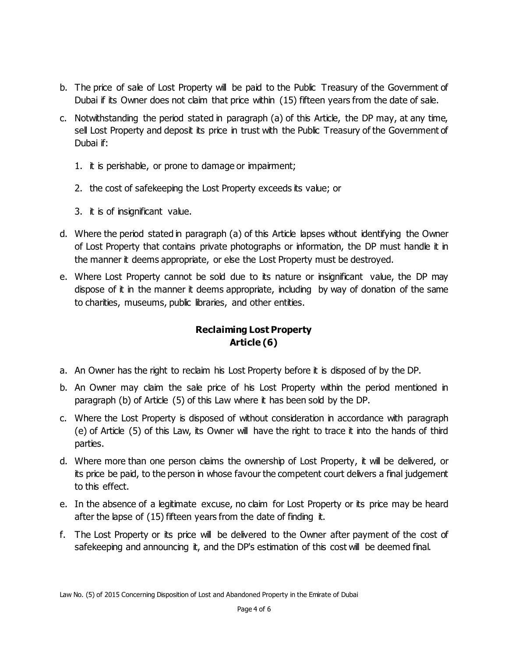- b. The price of sale of Lost Property will be paid to the Public Treasury of the Government of Dubai if its Owner does not claim that price within (15) fifteen years from the date of sale.
- c. Notwithstanding the period stated in paragraph (a) of this Article, the DP may, at any time, sell Lost Property and deposit its price in trust with the Public Treasury of the Government of Dubai if:
	- 1. it is perishable, or prone to damage or impairment;
	- 2. the cost of safekeeping the Lost Property exceeds its value; or
	- 3. it is of insignificant value.
- d. Where the period stated in paragraph (a) of this Article lapses without identifying the Owner of Lost Property that contains private photographs or information, the DP must handle it in the manner it deems appropriate, or else the Lost Property must be destroyed.
- e. Where Lost Property cannot be sold due to its nature or insignificant value, the DP may dispose of it in the manner it deems appropriate, including by way of donation of the same to charities, museums, public libraries, and other entities.

# **Reclaiming Lost Property Article (6)**

- a. An Owner has the right to reclaim his Lost Property before it is disposed of by the DP.
- b. An Owner may claim the sale price of his Lost Property within the period mentioned in paragraph (b) of Article (5) of this Law where it has been sold by the DP.
- c. Where the Lost Property is disposed of without consideration in accordance with paragraph (e) of Article (5) of this Law, its Owner will have the right to trace it into the hands of third parties.
- d. Where more than one person claims the ownership of Lost Property, it will be delivered, or its price be paid, to the person in whose favour the competent court delivers a final judgement to this effect.
- e. In the absence of a legitimate excuse, no claim for Lost Property or its price may be heard after the lapse of (15) fifteen years from the date of finding it.
- f. The Lost Property or its price will be delivered to the Owner after payment of the cost of safekeeping and announcing it, and the DP's estimation of this cost will be deemed final.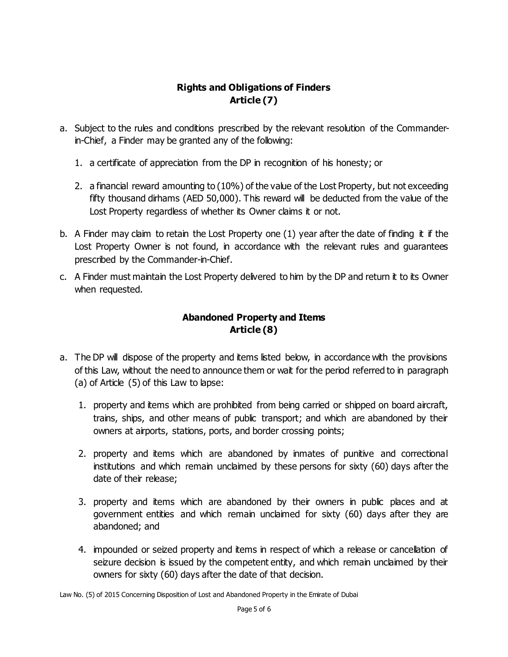## **Rights and Obligations of Finders Article (7)**

- a. Subject to the rules and conditions prescribed by the relevant resolution of the Commanderin-Chief, a Finder may be granted any of the following:
	- 1. a certificate of appreciation from the DP in recognition of his honesty; or
	- 2. a financial reward amounting to (10%) of the value of the Lost Property, but not exceeding fifty thousand dirhams (AED 50,000). This reward will be deducted from the value of the Lost Property regardless of whether its Owner claims it or not.
- b. A Finder may claim to retain the Lost Property one (1) year after the date of finding it if the Lost Property Owner is not found, in accordance with the relevant rules and guarantees prescribed by the Commander-in-Chief.
- c. A Finder must maintain the Lost Property delivered to him by the DP and return it to its Owner when requested.

## **Abandoned Property and Items Article (8)**

- a. The DP will dispose of the property and items listed below, in accordance with the provisions of this Law, without the need to announce them or wait for the period referred to in paragraph (a) of Article (5) of this Law to lapse:
	- 1. property and items which are prohibited from being carried or shipped on board aircraft, trains, ships, and other means of public transport; and which are abandoned by their owners at airports, stations, ports, and border crossing points;
	- 2. property and items which are abandoned by inmates of punitive and correctional institutions and which remain unclaimed by these persons for sixty (60) days after the date of their release;
	- 3. property and items which are abandoned by their owners in public places and at government entities and which remain unclaimed for sixty (60) days after they are abandoned; and
	- 4. impounded or seized property and items in respect of which a release or cancellation of seizure decision is issued by the competent entity, and which remain unclaimed by their owners for sixty (60) days after the date of that decision.